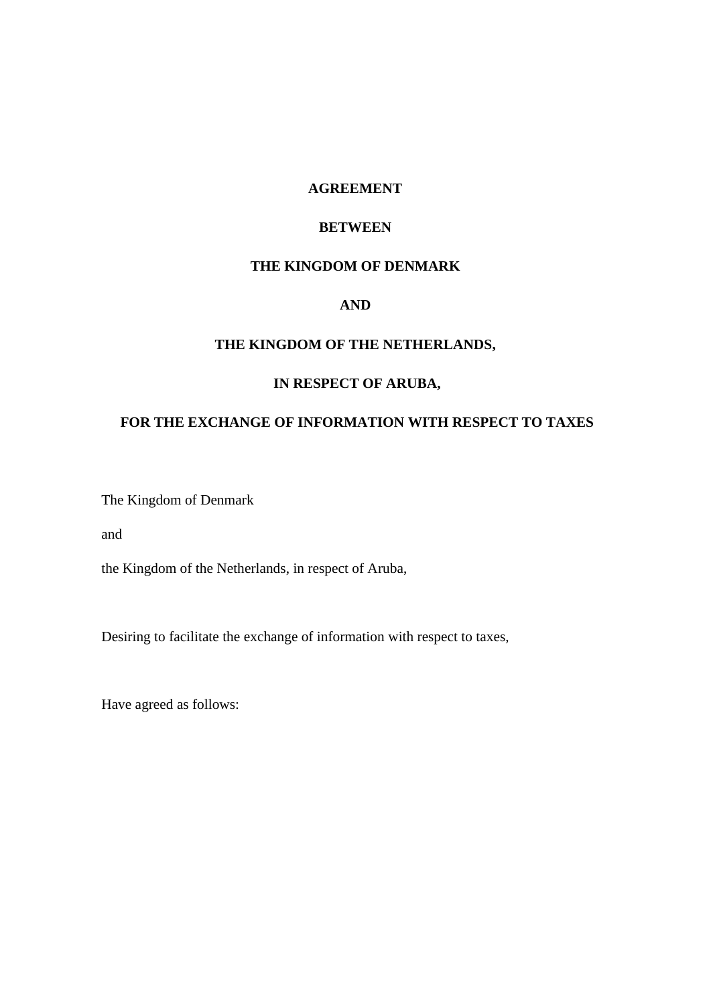## **AGREEMENT**

## **BETWEEN**

## **THE KINGDOM OF DENMARK**

## **AND**

# **THE KINGDOM OF THE NETHERLANDS,**

# **IN RESPECT OF ARUBA,**

# **FOR THE EXCHANGE OF INFORMATION WITH RESPECT TO TAXES**

The Kingdom of Denmark

and

the Kingdom of the Netherlands, in respect of Aruba,

Desiring to facilitate the exchange of information with respect to taxes,

Have agreed as follows: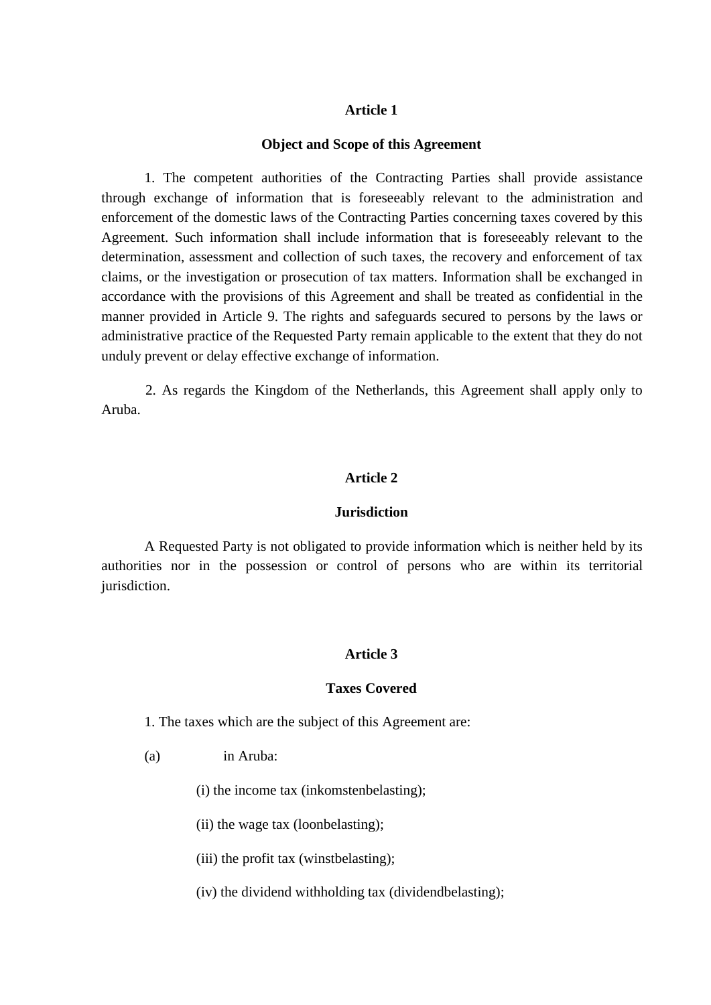## **Article 1**

## **Object and Scope of this Agreement**

1. The competent authorities of the Contracting Parties shall provide assistance through exchange of information that is foreseeably relevant to the administration and enforcement of the domestic laws of the Contracting Parties concerning taxes covered by this Agreement. Such information shall include information that is foreseeably relevant to the determination, assessment and collection of such taxes, the recovery and enforcement of tax claims, or the investigation or prosecution of tax matters. Information shall be exchanged in accordance with the provisions of this Agreement and shall be treated as confidential in the manner provided in Article 9. The rights and safeguards secured to persons by the laws or administrative practice of the Requested Party remain applicable to the extent that they do not unduly prevent or delay effective exchange of information.

2. As regards the Kingdom of the Netherlands, this Agreement shall apply only to Aruba.

## **Article 2**

#### **Jurisdiction**

A Requested Party is not obligated to provide information which is neither held by its authorities nor in the possession or control of persons who are within its territorial jurisdiction.

#### **Article 3**

## **Taxes Covered**

1. The taxes which are the subject of this Agreement are:

(a) in Aruba:

(i) the income tax (inkomstenbelasting);

- (ii) the wage tax (loonbelasting);
- (iii) the profit tax (winstbelasting);
- (iv) the dividend withholding tax (dividendbelasting);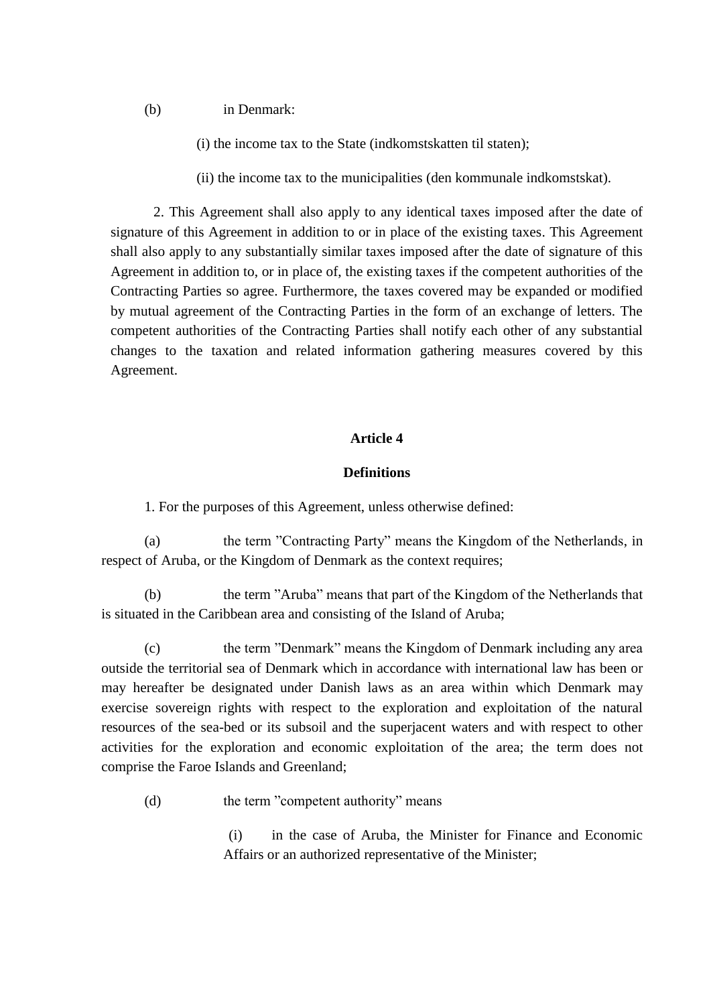(i) the income tax to the State (indkomstskatten til staten);

(ii) the income tax to the municipalities (den kommunale indkomstskat).

2. This Agreement shall also apply to any identical taxes imposed after the date of signature of this Agreement in addition to or in place of the existing taxes. This Agreement shall also apply to any substantially similar taxes imposed after the date of signature of this Agreement in addition to, or in place of, the existing taxes if the competent authorities of the Contracting Parties so agree. Furthermore, the taxes covered may be expanded or modified by mutual agreement of the Contracting Parties in the form of an exchange of letters. The competent authorities of the Contracting Parties shall notify each other of any substantial changes to the taxation and related information gathering measures covered by this Agreement.

# **Article 4**

## **Definitions**

1. For the purposes of this Agreement, unless otherwise defined:

(a) the term "Contracting Party" means the Kingdom of the Netherlands, in respect of Aruba, or the Kingdom of Denmark as the context requires;

(b) the term "Aruba" means that part of the Kingdom of the Netherlands that is situated in the Caribbean area and consisting of the Island of Aruba;

(c) the term "Denmark" means the Kingdom of Denmark including any area outside the territorial sea of Denmark which in accordance with international law has been or may hereafter be designated under Danish laws as an area within which Denmark may exercise sovereign rights with respect to the exploration and exploitation of the natural resources of the sea-bed or its subsoil and the superjacent waters and with respect to other activities for the exploration and economic exploitation of the area; the term does not comprise the Faroe Islands and Greenland;

(d) the term "competent authority" means

(i) in the case of Aruba, the Minister for Finance and Economic Affairs or an authorized representative of the Minister;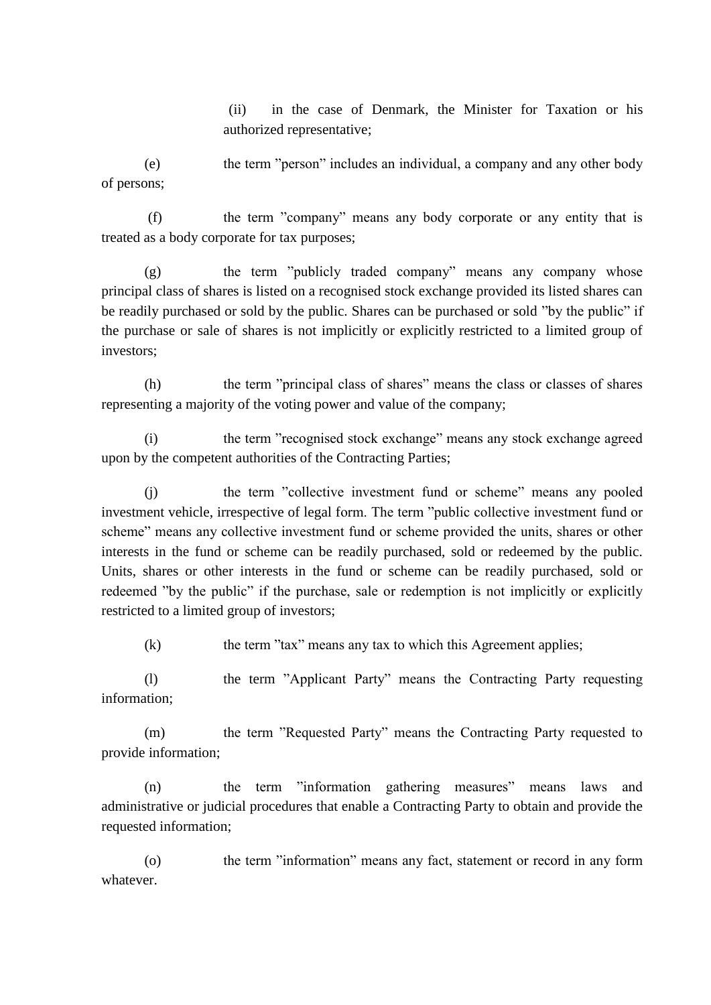(ii) in the case of Denmark, the Minister for Taxation or his authorized representative;

(e) the term "person" includes an individual, a company and any other body of persons;

(f) the term "company" means any body corporate or any entity that is treated as a body corporate for tax purposes;

(g) the term "publicly traded company" means any company whose principal class of shares is listed on a recognised stock exchange provided its listed shares can be readily purchased or sold by the public. Shares can be purchased or sold "by the public" if the purchase or sale of shares is not implicitly or explicitly restricted to a limited group of investors;

(h) the term "principal class of shares" means the class or classes of shares representing a majority of the voting power and value of the company;

(i) the term "recognised stock exchange" means any stock exchange agreed upon by the competent authorities of the Contracting Parties;

(j) the term "collective investment fund or scheme" means any pooled investment vehicle, irrespective of legal form. The term "public collective investment fund or scheme" means any collective investment fund or scheme provided the units, shares or other interests in the fund or scheme can be readily purchased, sold or redeemed by the public. Units, shares or other interests in the fund or scheme can be readily purchased, sold or redeemed "by the public" if the purchase, sale or redemption is not implicitly or explicitly restricted to a limited group of investors;

(k) the term "tax" means any tax to which this Agreement applies;

(l) the term "Applicant Party" means the Contracting Party requesting information;

(m) the term "Requested Party" means the Contracting Party requested to provide information;

(n) the term "information gathering measures" means laws and administrative or judicial procedures that enable a Contracting Party to obtain and provide the requested information;

(o) the term "information" means any fact, statement or record in any form whatever.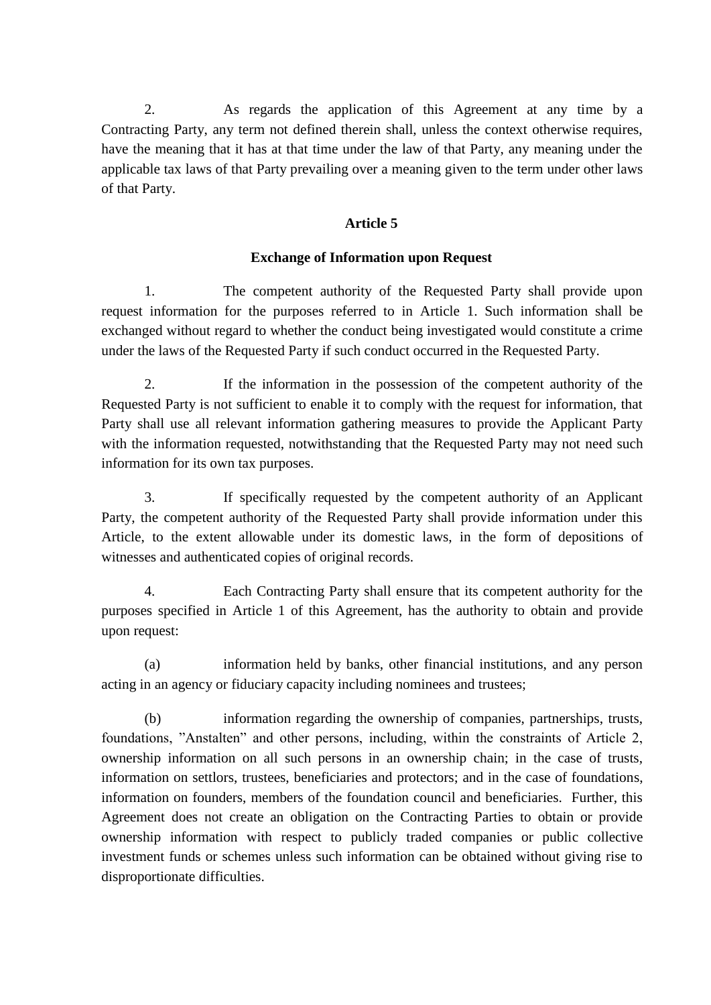2. As regards the application of this Agreement at any time by a Contracting Party, any term not defined therein shall, unless the context otherwise requires, have the meaning that it has at that time under the law of that Party, any meaning under the applicable tax laws of that Party prevailing over a meaning given to the term under other laws of that Party.

# **Article 5**

# **Exchange of Information upon Request**

1. The competent authority of the Requested Party shall provide upon request information for the purposes referred to in Article 1. Such information shall be exchanged without regard to whether the conduct being investigated would constitute a crime under the laws of the Requested Party if such conduct occurred in the Requested Party.

2. If the information in the possession of the competent authority of the Requested Party is not sufficient to enable it to comply with the request for information, that Party shall use all relevant information gathering measures to provide the Applicant Party with the information requested, notwithstanding that the Requested Party may not need such information for its own tax purposes.

3. If specifically requested by the competent authority of an Applicant Party, the competent authority of the Requested Party shall provide information under this Article, to the extent allowable under its domestic laws, in the form of depositions of witnesses and authenticated copies of original records.

4. Each Contracting Party shall ensure that its competent authority for the purposes specified in Article 1 of this Agreement, has the authority to obtain and provide upon request:

(a) information held by banks, other financial institutions, and any person acting in an agency or fiduciary capacity including nominees and trustees;

(b) information regarding the ownership of companies, partnerships, trusts, foundations, "Anstalten" and other persons, including, within the constraints of Article 2, ownership information on all such persons in an ownership chain; in the case of trusts, information on settlors, trustees, beneficiaries and protectors; and in the case of foundations, information on founders, members of the foundation council and beneficiaries. Further, this Agreement does not create an obligation on the Contracting Parties to obtain or provide ownership information with respect to publicly traded companies or public collective investment funds or schemes unless such information can be obtained without giving rise to disproportionate difficulties.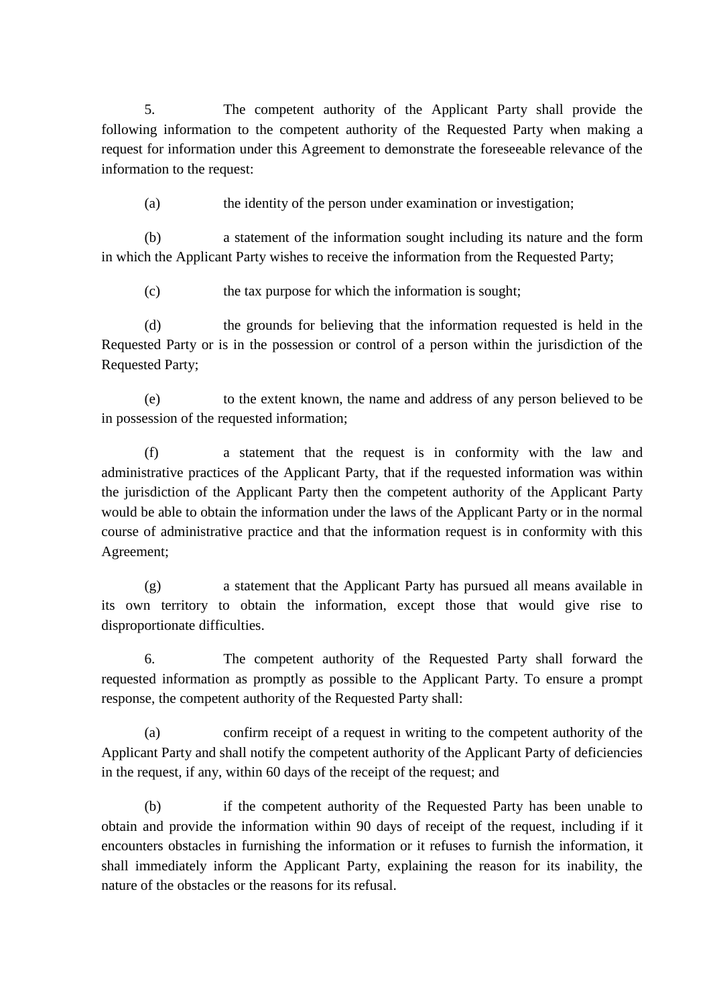5. The competent authority of the Applicant Party shall provide the following information to the competent authority of the Requested Party when making a request for information under this Agreement to demonstrate the foreseeable relevance of the information to the request:

(a) the identity of the person under examination or investigation;

(b) a statement of the information sought including its nature and the form in which the Applicant Party wishes to receive the information from the Requested Party;

(c) the tax purpose for which the information is sought;

(d) the grounds for believing that the information requested is held in the Requested Party or is in the possession or control of a person within the jurisdiction of the Requested Party;

(e) to the extent known, the name and address of any person believed to be in possession of the requested information;

(f) a statement that the request is in conformity with the law and administrative practices of the Applicant Party, that if the requested information was within the jurisdiction of the Applicant Party then the competent authority of the Applicant Party would be able to obtain the information under the laws of the Applicant Party or in the normal course of administrative practice and that the information request is in conformity with this Agreement;

(g) a statement that the Applicant Party has pursued all means available in its own territory to obtain the information, except those that would give rise to disproportionate difficulties.

6. The competent authority of the Requested Party shall forward the requested information as promptly as possible to the Applicant Party. To ensure a prompt response, the competent authority of the Requested Party shall:

(a) confirm receipt of a request in writing to the competent authority of the Applicant Party and shall notify the competent authority of the Applicant Party of deficiencies in the request, if any, within 60 days of the receipt of the request; and

(b) if the competent authority of the Requested Party has been unable to obtain and provide the information within 90 days of receipt of the request, including if it encounters obstacles in furnishing the information or it refuses to furnish the information, it shall immediately inform the Applicant Party, explaining the reason for its inability, the nature of the obstacles or the reasons for its refusal.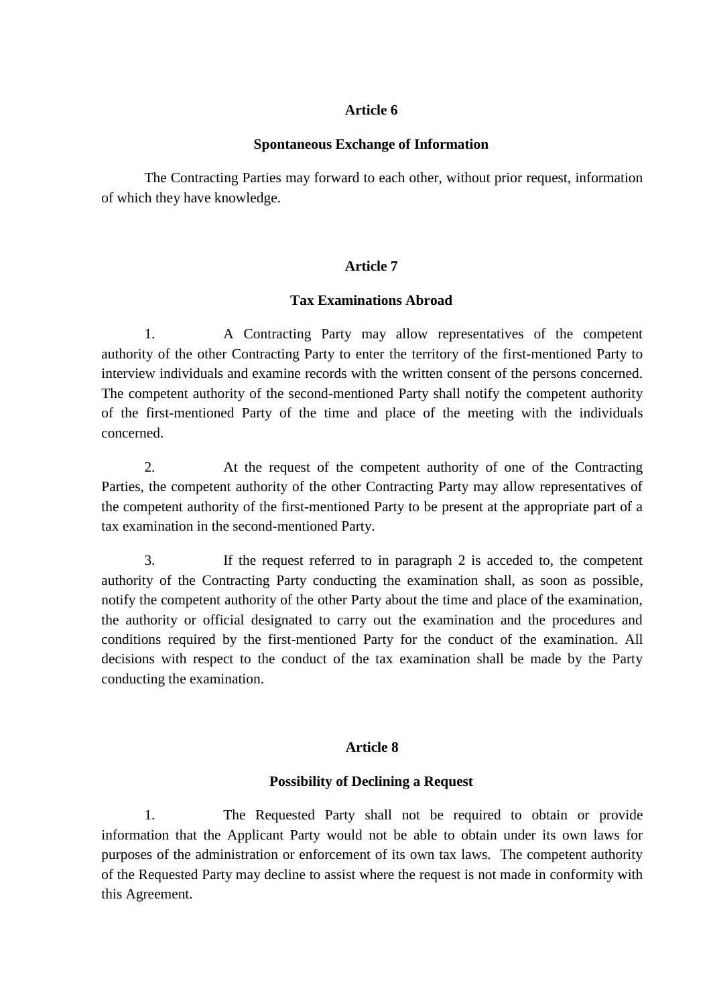## **Article 6**

#### **Spontaneous Exchange of Information**

The Contracting Parties may forward to each other, without prior request, information of which they have knowledge.

#### **Article 7**

## **Tax Examinations Abroad**

1. A Contracting Party may allow representatives of the competent authority of the other Contracting Party to enter the territory of the first-mentioned Party to interview individuals and examine records with the written consent of the persons concerned. The competent authority of the second-mentioned Party shall notify the competent authority of the first-mentioned Party of the time and place of the meeting with the individuals concerned.

2. At the request of the competent authority of one of the Contracting Parties, the competent authority of the other Contracting Party may allow representatives of the competent authority of the first-mentioned Party to be present at the appropriate part of a tax examination in the second-mentioned Party.

3. If the request referred to in paragraph 2 is acceded to, the competent authority of the Contracting Party conducting the examination shall, as soon as possible, notify the competent authority of the other Party about the time and place of the examination, the authority or official designated to carry out the examination and the procedures and conditions required by the first-mentioned Party for the conduct of the examination. All decisions with respect to the conduct of the tax examination shall be made by the Party conducting the examination.

## **Article 8**

### **Possibility of Declining a Request**

1. The Requested Party shall not be required to obtain or provide information that the Applicant Party would not be able to obtain under its own laws for purposes of the administration or enforcement of its own tax laws. The competent authority of the Requested Party may decline to assist where the request is not made in conformity with this Agreement.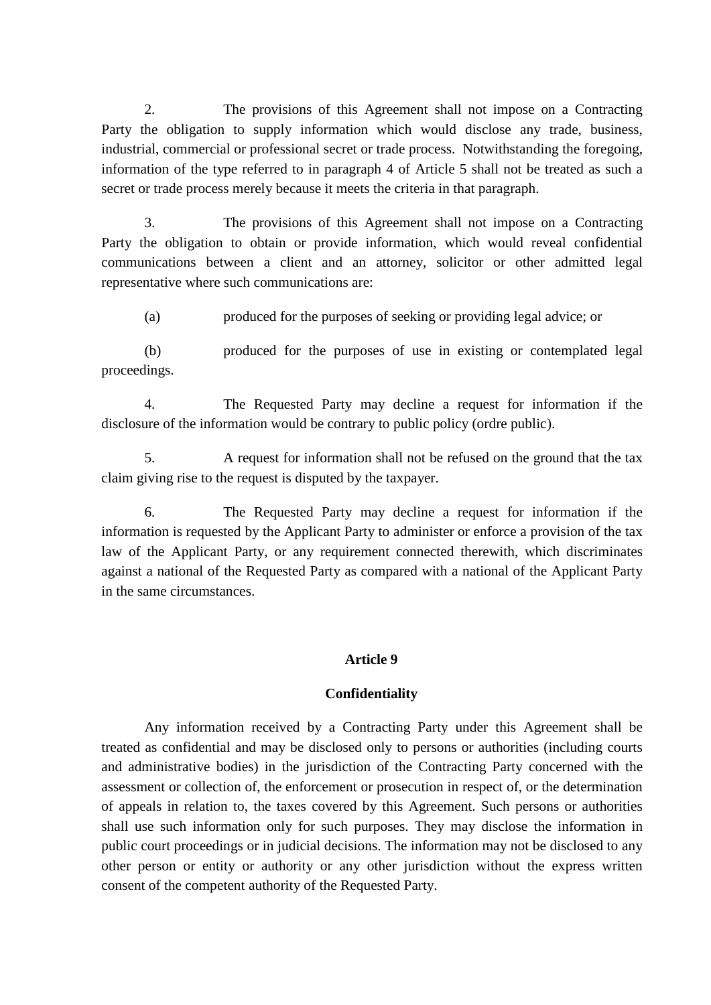2. The provisions of this Agreement shall not impose on a Contracting Party the obligation to supply information which would disclose any trade, business, industrial, commercial or professional secret or trade process. Notwithstanding the foregoing, information of the type referred to in paragraph 4 of Article 5 shall not be treated as such a secret or trade process merely because it meets the criteria in that paragraph.

3. The provisions of this Agreement shall not impose on a Contracting Party the obligation to obtain or provide information, which would reveal confidential communications between a client and an attorney, solicitor or other admitted legal representative where such communications are:

(a) produced for the purposes of seeking or providing legal advice; or

(b) produced for the purposes of use in existing or contemplated legal proceedings.

4. The Requested Party may decline a request for information if the disclosure of the information would be contrary to public policy (ordre public).

5. A request for information shall not be refused on the ground that the tax claim giving rise to the request is disputed by the taxpayer.

6. The Requested Party may decline a request for information if the information is requested by the Applicant Party to administer or enforce a provision of the tax law of the Applicant Party, or any requirement connected therewith, which discriminates against a national of the Requested Party as compared with a national of the Applicant Party in the same circumstances.

## **Article 9**

## **Confidentiality**

Any information received by a Contracting Party under this Agreement shall be treated as confidential and may be disclosed only to persons or authorities (including courts and administrative bodies) in the jurisdiction of the Contracting Party concerned with the assessment or collection of, the enforcement or prosecution in respect of, or the determination of appeals in relation to, the taxes covered by this Agreement. Such persons or authorities shall use such information only for such purposes. They may disclose the information in public court proceedings or in judicial decisions. The information may not be disclosed to any other person or entity or authority or any other jurisdiction without the express written consent of the competent authority of the Requested Party.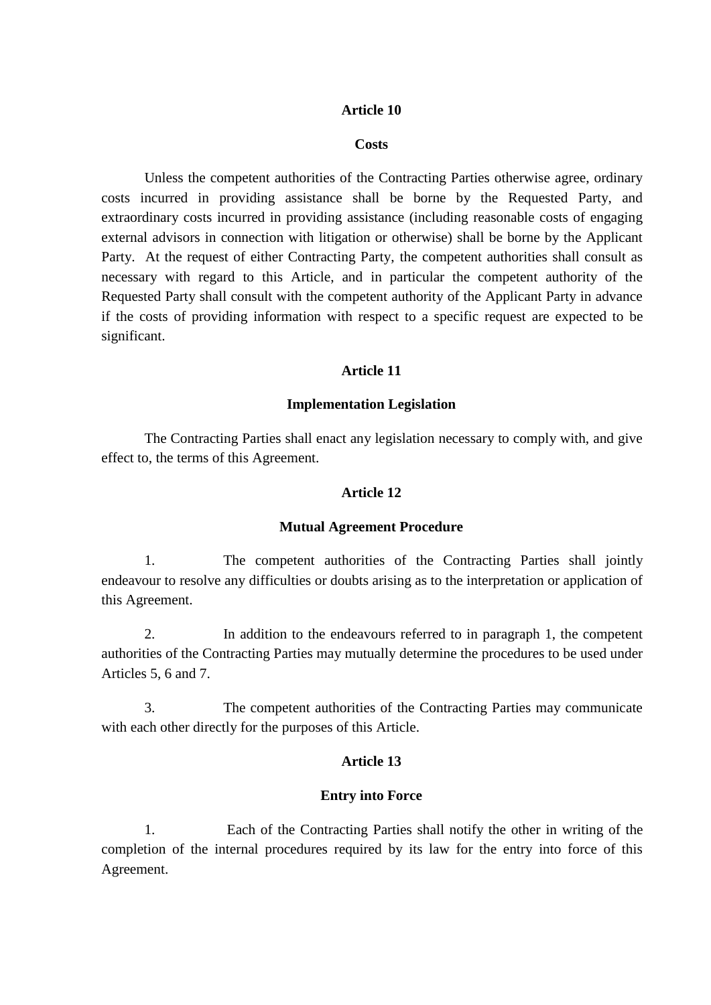## **Article 10**

## **Costs**

Unless the competent authorities of the Contracting Parties otherwise agree, ordinary costs incurred in providing assistance shall be borne by the Requested Party, and extraordinary costs incurred in providing assistance (including reasonable costs of engaging external advisors in connection with litigation or otherwise) shall be borne by the Applicant Party. At the request of either Contracting Party, the competent authorities shall consult as necessary with regard to this Article, and in particular the competent authority of the Requested Party shall consult with the competent authority of the Applicant Party in advance if the costs of providing information with respect to a specific request are expected to be significant.

## **Article 11**

## **Implementation Legislation**

The Contracting Parties shall enact any legislation necessary to comply with, and give effect to, the terms of this Agreement.

## **Article 12**

## **Mutual Agreement Procedure**

1. The competent authorities of the Contracting Parties shall jointly endeavour to resolve any difficulties or doubts arising as to the interpretation or application of this Agreement.

2. In addition to the endeavours referred to in paragraph 1, the competent authorities of the Contracting Parties may mutually determine the procedures to be used under Articles 5, 6 and 7.

3. The competent authorities of the Contracting Parties may communicate with each other directly for the purposes of this Article.

## **Article 13**

## **Entry into Force**

1. Each of the Contracting Parties shall notify the other in writing of the completion of the internal procedures required by its law for the entry into force of this Agreement.